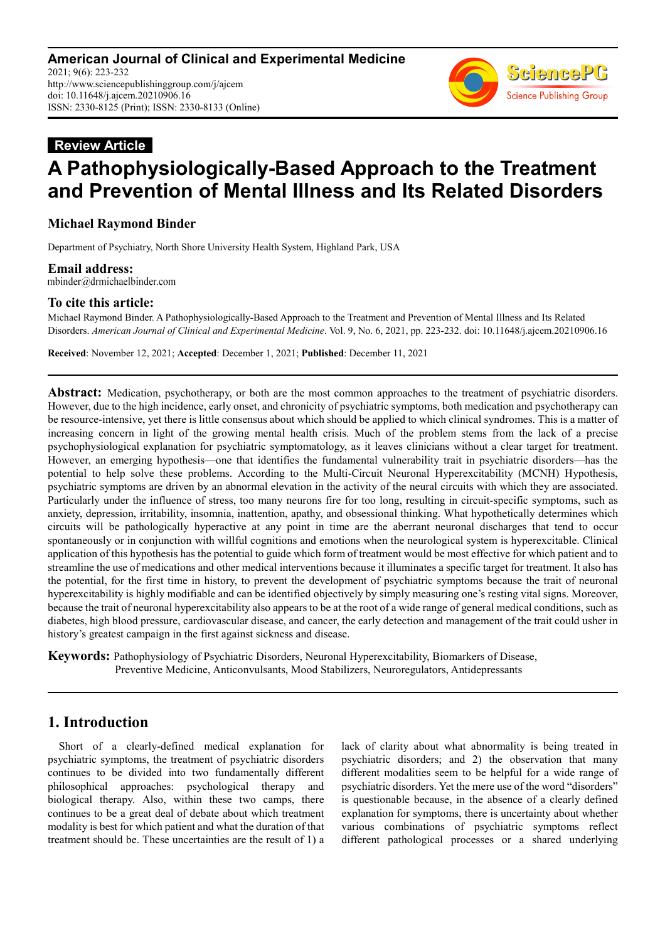# **Review Article A Pathophysiologically-Based Approach to the Treatment and Prevention of Mental Illness and Its Related Disorders**

## **Michael Raymond Binder**

Department of Psychiatry, North Shore University Health System, Highland Park, USA

**Email address:**<br>mbinder@drmichaelbinder.com

#### **To cite this article:**

Michael Raymond Binder. A Pathophysiologically-Based Approach to the Treatment and Prevention of Mental Illness and Its Related Disorders. *American Journal of Clinical and Experimental Medicine*. Vol. 9, No. 6, 2021, pp. 223-232. doi: 10.11648/j.ajcem.20210906.16

**Received**: November 12, 2021; **Accepted**: December 1, 2021; **Published**: December 11, 2021

**Abstract:** Medication, psychotherapy, or both are the most common approaches to the treatment of psychiatric disorders. However, due to the high incidence, early onset, and chronicity of psychiatric symptoms, both medication and psychotherapy can be resource-intensive, yet there is little consensus about which should be applied to which clinical syndromes. This is a matter of increasing concern in light of the growing mental health crisis. Much of the problem stems from the lack of a precise psychophysiological explanation for psychiatric symptomatology, as it leaves clinicians without a clear target for treatment. However, an emerging hypothesis—one that identifies the fundamental vulnerability trait in psychiatric disorders—has the potential to help solve these problems. According to the Multi-Circuit Neuronal Hyperexcitability (MCNH) Hypothesis, psychiatric symptoms are driven by an abnormal elevation in the activity of the neural circuits with which they are associated. Particularly under the influence of stress, too many neurons fire for too long, resulting in circuit-specific symptoms, such as anxiety, depression, irritability, insomnia, inattention, apathy, and obsessional thinking. What hypothetically determines which circuits will be pathologically hyperactive at any point in time are the aberrant neuronal discharges that tend to occur spontaneously or in conjunction with willful cognitions and emotions when the neurological system is hyperexcitable. Clinical application of this hypothesis has the potential to guide which form of treatment would be most effective for which patient and to streamline the use of medications and other medical interventions because it illuminates a specific target for treatment. It also has the potential, for the first time in history, to prevent the development of psychiatric symptoms because the trait of neuronal hyperexcitability is highly modifiable and can be identified objectively by simply measuring one's resting vital signs. Moreover, because the trait of neuronal hyperexcitability also appears to be at the root of a wide range of general medical conditions, such as diabetes, high blood pressure, cardiovascular disease, and cancer, the early detection and management of the trait could usher in history's greatest campaign in the first against sickness and disease.

**Keywords:** Pathophysiology of Psychiatric Disorders, Neuronal Hyperexcitability, Biomarkers of Disease, Preventive Medicine, Anticonvulsants, Mood Stabilizers, Neuroregulators, Antidepressants

# **1. Introduction**

Short of a clearly-defined medical explanation for psychiatric symptoms, the treatment of psychiatric disorders continues to be divided into two fundamentally different philosophical approaches: psychological therapy and biological therapy. Also, within these two camps, there continues to be a great deal of debate about which treatment modality is best for which patient and what the duration of that treatment should be. These uncertainties are the result of 1) a lack of clarity about what abnormality is being treated in psychiatric disorders; and 2) the observation that many different modalities seem to be helpful for a wide range of psychiatric disorders. Yet the mere use of the word "disorders" is questionable because, in the absence of a clearly defined explanation for symptoms, there is uncertainty about whether various combinations of psychiatric symptoms reflect different pathological processes or a shared underlying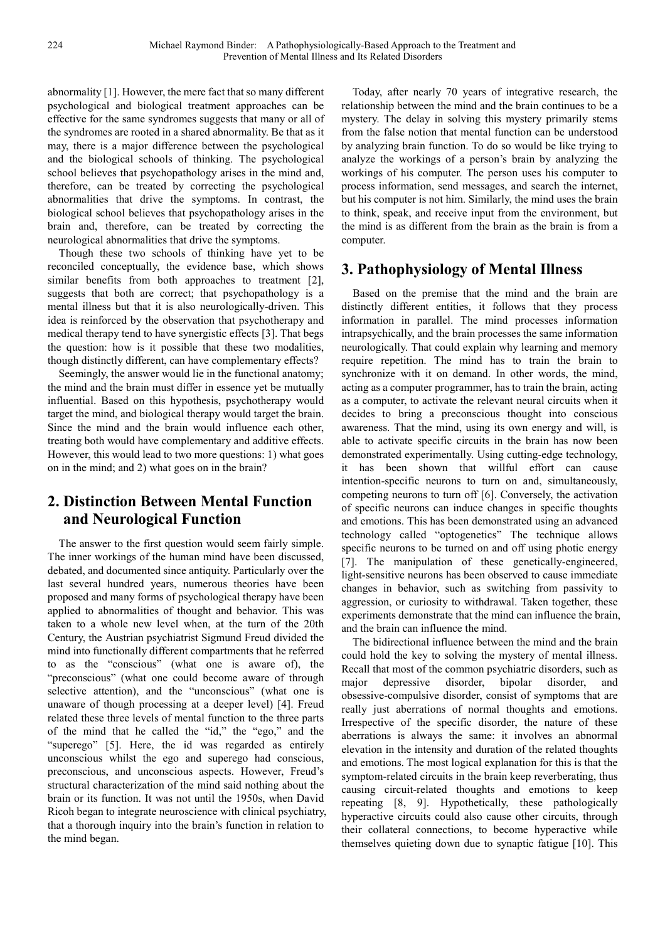abnormality [1]. However, the mere fact that so many different psychological and biological treatment approaches can be effective for the same syndromes suggests that many or all of the syndromes are rooted in a shared abnormality. Be that as it may, there is a major difference between the psychological and the biological schools of thinking. The psychological school believes that psychopathology arises in the mind and, therefore, can be treated by correcting the psychological abnormalities that drive the symptoms. In contrast, the biological school believes that psychopathology arises in the brain and, therefore, can be treated by correcting the neurological abnormalities that drive the symptoms.

Though these two schools of thinking have yet to be reconciled conceptually, the evidence base, which shows similar benefits from both approaches to treatment [2], suggests that both are correct; that psychopathology is a mental illness but that it is also neurologically-driven. This idea is reinforced by the observation that psychotherapy and medical therapy tend to have synergistic effects [3]. That begs the question: how is it possible that these two modalities, though distinctly different, can have complementary effects?

Seemingly, the answer would lie in the functional anatomy; the mind and the brain must differ in essence yet be mutually influential. Based on this hypothesis, psychotherapy would target the mind, and biological therapy would target the brain. Since the mind and the brain would influence each other, treating both would have complementary and additive effects. However, this would lead to two more questions: 1) what goes on in the mind; and 2) what goes on in the brain?

# **2. Distinction Between Mental Function and Neurological Function**

The answer to the first question would seem fairly simple. The inner workings of the human mind have been discussed, debated, and documented since antiquity. Particularly over the last several hundred years, numerous theories have been proposed and many forms of psychological therapy have been applied to abnormalities of thought and behavior. This was taken to a whole new level when, at the turn of the 20th Century, the Austrian psychiatrist Sigmund Freud divided the mind into functionally different compartments that he referred to as the "conscious" (what one is aware of), the "preconscious" (what one could become aware of through selective attention), and the "unconscious" (what one is unaware of though processing at a deeper level) [4]. Freud related these three levels of mental function to the three parts of the mind that he called the "id," the "ego," and the "superego" [5]. Here, the id was regarded as entirely unconscious whilst the ego and superego had conscious, preconscious, and unconscious aspects. However, Freud's structural characterization of the mind said nothing about the brain or its function. It was not until the 1950s, when David Ricoh began to integrate neuroscience with clinical psychiatry, that a thorough inquiry into the brain's function in relation to the mind began.

Today, after nearly 70 years of integrative research, the relationship between the mind and the brain continues to be a mystery. The delay in solving this mystery primarily stems from the false notion that mental function can be understood by analyzing brain function. To do so would be like trying to analyze the workings of a person's brain by analyzing the workings of his computer. The person uses his computer to process information, send messages, and search the internet, but his computer is not him. Similarly, the mind uses the brain to think, speak, and receive input from the environment, but the mind is as different from the brain as the brain is from a computer.

# **3. Pathophysiology of Mental Illness**

Based on the premise that the mind and the brain are distinctly different entities, it follows that they process information in parallel. The mind processes information intrapsychically, and the brain processes the same information neurologically. That could explain why learning and memory require repetition. The mind has to train the brain to synchronize with it on demand. In other words, the mind, acting as a computer programmer, has to train the brain, acting as a computer, to activate the relevant neural circuits when it decides to bring a preconscious thought into conscious awareness. That the mind, using its own energy and will, is able to activate specific circuits in the brain has now been demonstrated experimentally. Using cutting-edge technology, it has been shown that willful effort can cause intention-specific neurons to turn on and, simultaneously, competing neurons to turn off [6]. Conversely, the activation of specific neurons can induce changes in specific thoughts and emotions. This has been demonstrated using an advanced technology called "optogenetics" The technique allows specific neurons to be turned on and off using photic energy [7]. The manipulation of these genetically-engineered, light-sensitive neurons has been observed to cause immediate changes in behavior, such as switching from passivity to aggression, or curiosity to withdrawal. Taken together, these experiments demonstrate that the mind can influence the brain, and the brain can influence the mind.

The bidirectional influence between the mind and the brain could hold the key to solving the mystery of mental illness. Recall that most of the common psychiatric disorders, such as major depressive disorder, bipolar disorder, and obsessive-compulsive disorder, consist of symptoms that are really just aberrations of normal thoughts and emotions. Irrespective of the specific disorder, the nature of these aberrations is always the same: it involves an abnormal elevation in the intensity and duration of the related thoughts and emotions. The most logical explanation for this is that the symptom-related circuits in the brain keep reverberating, thus causing circuit-related thoughts and emotions to keep repeating [8, 9]. Hypothetically, these pathologically hyperactive circuits could also cause other circuits, through their collateral connections, to become hyperactive while themselves quieting down due to synaptic fatigue [10]. This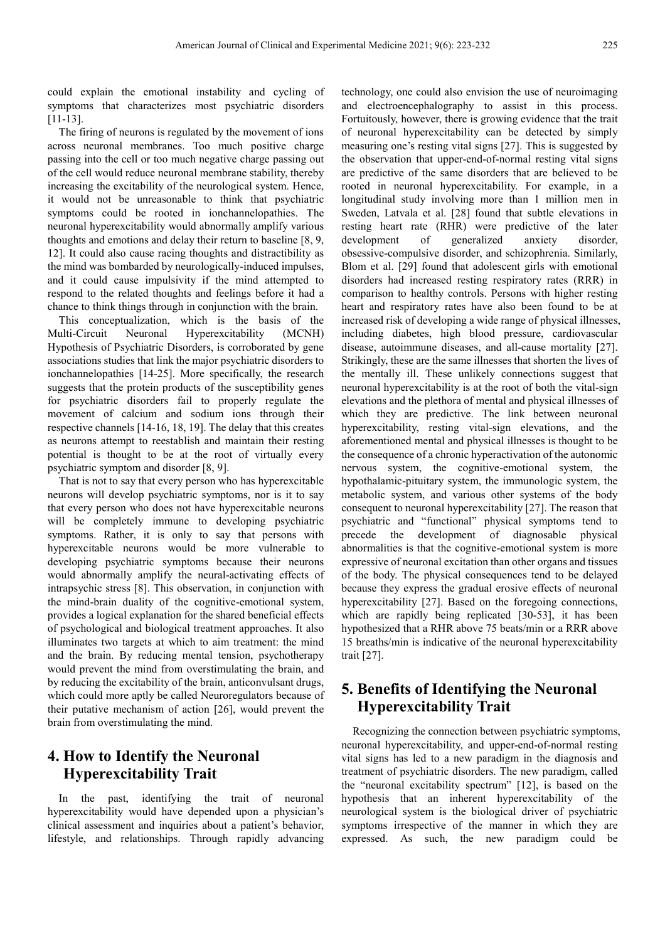could explain the emotional instability and cycling of symptoms that characterizes most psychiatric disorders [11-13].

The firing of neurons is regulated by the movement of ions across neuronal membranes. Too much positive charge passing into the cell or too much negative charge passing out of the cell would reduce neuronal membrane stability, thereby increasing the excitability of the neurological system. Hence, it would not be unreasonable to think that psychiatric symptoms could be rooted in ionchannelopathies. The neuronal hyperexcitability would abnormally amplify various thoughts and emotions and delay their return to baseline [8, 9, 12]. It could also cause racing thoughts and distractibility as the mind was bombarded by neurologically-induced impulses, and it could cause impulsivity if the mind attempted to respond to the related thoughts and feelings before it had a chance to think things through in conjunction with the brain.

This conceptualization, which is the basis of the Multi-Circuit Neuronal Hyperexcitability (MCNH) Hypothesis of Psychiatric Disorders, is corroborated by gene associations studies that link the major psychiatric disorders to ionchannelopathies [14-25]. More specifically, the research suggests that the protein products of the susceptibility genes for psychiatric disorders fail to properly regulate the movement of calcium and sodium ions through their respective channels [14-16, 18, 19]. The delay that this creates as neurons attempt to reestablish and maintain their resting potential is thought to be at the root of virtually every psychiatric symptom and disorder [8, 9].

That is not to say that every person who has hyperexcitable neurons will develop psychiatric symptoms, nor is it to say that every person who does not have hyperexcitable neurons will be completely immune to developing psychiatric symptoms. Rather, it is only to say that persons with hyperexcitable neurons would be more vulnerable to developing psychiatric symptoms because their neurons would abnormally amplify the neural-activating effects of intrapsychic stress [8]. This observation, in conjunction with the mind-brain duality of the cognitive-emotional system, provides a logical explanation for the shared beneficial effects of psychological and biological treatment approaches. It also illuminates two targets at which to aim treatment: the mind and the brain. By reducing mental tension, psychotherapy would prevent the mind from overstimulating the brain, and by reducing the excitability of the brain, anticonvulsant drugs, which could more aptly be called Neuroregulators because of their putative mechanism of action [26], would prevent the brain from overstimulating the mind.

# **4. How to Identify the Neuronal Hyperexcitability Trait**

In the past, identifying the trait of neuronal hyperexcitability would have depended upon a physician's clinical assessment and inquiries about a patient's behavior, lifestyle, and relationships. Through rapidly advancing technology, one could also envision the use of neuroimaging and electroencephalography to assist in this process. Fortuitously, however, there is growing evidence that the trait of neuronal hyperexcitability can be detected by simply measuring one's resting vital signs [27]. This is suggested by the observation that upper-end-of-normal resting vital signs are predictive of the same disorders that are believed to be rooted in neuronal hyperexcitability. For example, in a longitudinal study involving more than 1 million men in Sweden, Latvala et al. [28] found that subtle elevations in resting heart rate (RHR) were predictive of the later development of generalized anxiety disorder, obsessive-compulsive disorder, and schizophrenia. Similarly, Blom et al. [29] found that adolescent girls with emotional disorders had increased resting respiratory rates (RRR) in comparison to healthy controls. Persons with higher resting heart and respiratory rates have also been found to be at increased risk of developing a wide range of physical illnesses, including diabetes, high blood pressure, cardiovascular disease, autoimmune diseases, and all-cause mortality [27]. Strikingly, these are the same illnesses that shorten the lives of the mentally ill. These unlikely connections suggest that neuronal hyperexcitability is at the root of both the vital-sign elevations and the plethora of mental and physical illnesses of which they are predictive. The link between neuronal hyperexcitability, resting vital-sign elevations, and the aforementioned mental and physical illnesses is thought to be the consequence of a chronic hyperactivation of the autonomic nervous system, the cognitive-emotional system, the hypothalamic-pituitary system, the immunologic system, the metabolic system, and various other systems of the body consequent to neuronal hyperexcitability [27]. The reason that psychiatric and "functional" physical symptoms tend to precede the development of diagnosable physical abnormalities is that the cognitive-emotional system is more expressive of neuronal excitation than other organs and tissues of the body. The physical consequences tend to be delayed because they express the gradual erosive effects of neuronal hyperexcitability [27]. Based on the foregoing connections, which are rapidly being replicated [30-53], it has been hypothesized that a RHR above 75 beats/min or a RRR above 15 breaths/min is indicative of the neuronal hyperexcitability trait [27].

# **5. Benefits of Identifying the Neuronal Hyperexcitability Trait**

Recognizing the connection between psychiatric symptoms, neuronal hyperexcitability, and upper-end-of-normal resting vital signs has led to a new paradigm in the diagnosis and treatment of psychiatric disorders. The new paradigm, called the "neuronal excitability spectrum" [12], is based on the hypothesis that an inherent hyperexcitability of the neurological system is the biological driver of psychiatric symptoms irrespective of the manner in which they are expressed. As such, the new paradigm could be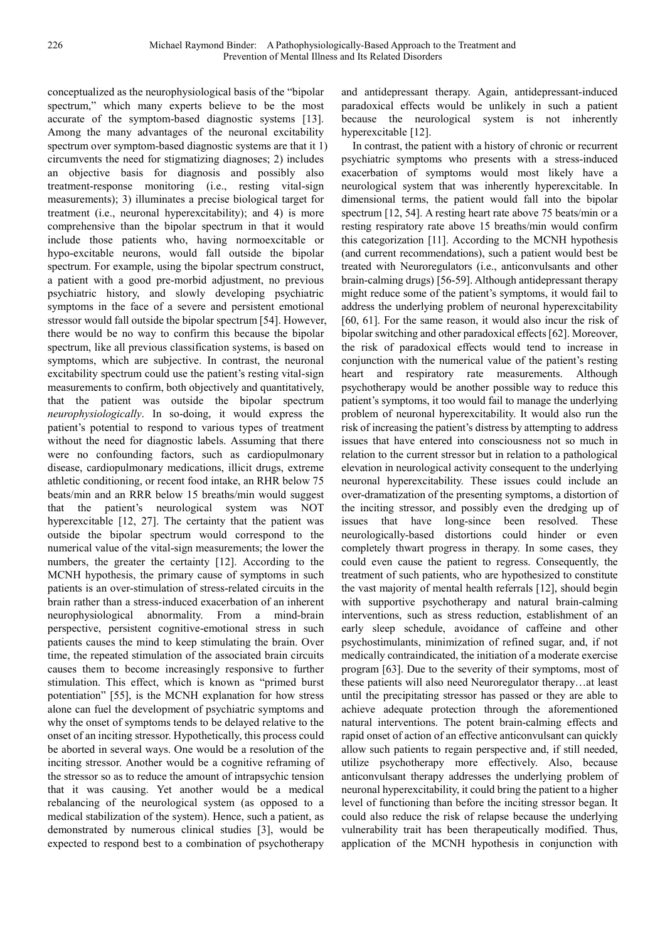conceptualized as the neurophysiological basis of the "bipolar spectrum," which many experts believe to be the most accurate of the symptom-based diagnostic systems [13]. Among the many advantages of the neuronal excitability spectrum over symptom-based diagnostic systems are that it 1) circumvents the need for stigmatizing diagnoses; 2) includes an objective basis for diagnosis and possibly also treatment-response monitoring (i.e., resting vital-sign measurements); 3) illuminates a precise biological target for treatment (i.e., neuronal hyperexcitability); and 4) is more comprehensive than the bipolar spectrum in that it would include those patients who, having normoexcitable or hypo-excitable neurons, would fall outside the bipolar spectrum. For example, using the bipolar spectrum construct, a patient with a good pre-morbid adjustment, no previous psychiatric history, and slowly developing psychiatric symptoms in the face of a severe and persistent emotional stressor would fall outside the bipolar spectrum [54]. However, there would be no way to confirm this because the bipolar spectrum, like all previous classification systems, is based on symptoms, which are subjective. In contrast, the neuronal excitability spectrum could use the patient's resting vital-sign measurements to confirm, both objectively and quantitatively, that the patient was outside the bipolar spectrum *neurophysiologically*. In so-doing, it would express the patient's potential to respond to various types of treatment without the need for diagnostic labels. Assuming that there were no confounding factors, such as cardiopulmonary disease, cardiopulmonary medications, illicit drugs, extreme athletic conditioning, or recent food intake, an RHR below 75 beats/min and an RRR below 15 breaths/min would suggest that the patient's neurological system was NOT hyperexcitable [12, 27]. The certainty that the patient was outside the bipolar spectrum would correspond to the numerical value of the vital-sign measurements; the lower the numbers, the greater the certainty [12]. According to the MCNH hypothesis, the primary cause of symptoms in such patients is an over-stimulation of stress-related circuits in the brain rather than a stress-induced exacerbation of an inherent neurophysiological abnormality. From a mind-brain perspective, persistent cognitive-emotional stress in such patients causes the mind to keep stimulating the brain. Over time, the repeated stimulation of the associated brain circuits causes them to become increasingly responsive to further stimulation. This effect, which is known as "primed burst potentiation" [55], is the MCNH explanation for how stress alone can fuel the development of psychiatric symptoms and why the onset of symptoms tends to be delayed relative to the onset of an inciting stressor. Hypothetically, this process could be aborted in several ways. One would be a resolution of the inciting stressor. Another would be a cognitive reframing of the stressor so as to reduce the amount of intrapsychic tension that it was causing. Yet another would be a medical rebalancing of the neurological system (as opposed to a medical stabilization of the system). Hence, such a patient, as demonstrated by numerous clinical studies [3], would be expected to respond best to a combination of psychotherapy

and antidepressant therapy. Again, antidepressant-induced paradoxical effects would be unlikely in such a patient because the neurological system is not inherently hyperexcitable [12].

In contrast, the patient with a history of chronic or recurrent psychiatric symptoms who presents with a stress-induced exacerbation of symptoms would most likely have a neurological system that was inherently hyperexcitable. In dimensional terms, the patient would fall into the bipolar spectrum [12, 54]. A resting heart rate above 75 beats/min or a resting respiratory rate above 15 breaths/min would confirm this categorization [11]. According to the MCNH hypothesis (and current recommendations), such a patient would best be treated with Neuroregulators (i.e., anticonvulsants and other brain-calming drugs) [56-59]. Although antidepressant therapy might reduce some of the patient's symptoms, it would fail to address the underlying problem of neuronal hyperexcitability [60, 61]. For the same reason, it would also incur the risk of bipolar switching and other paradoxical effects [62]. Moreover, the risk of paradoxical effects would tend to increase in conjunction with the numerical value of the patient's resting heart and respiratory rate measurements. Although psychotherapy would be another possible way to reduce this patient's symptoms, it too would fail to manage the underlying problem of neuronal hyperexcitability. It would also run the risk of increasing the patient's distress by attempting to address issues that have entered into consciousness not so much in relation to the current stressor but in relation to a pathological elevation in neurological activity consequent to the underlying neuronal hyperexcitability. These issues could include an over-dramatization of the presenting symptoms, a distortion of the inciting stressor, and possibly even the dredging up of issues that have long-since been resolved. These neurologically-based distortions could hinder or even completely thwart progress in therapy. In some cases, they could even cause the patient to regress. Consequently, the treatment of such patients, who are hypothesized to constitute the vast majority of mental health referrals [12], should begin with supportive psychotherapy and natural brain-calming interventions, such as stress reduction, establishment of an early sleep schedule, avoidance of caffeine and other psychostimulants, minimization of refined sugar, and, if not medically contraindicated, the initiation of a moderate exercise program [63]. Due to the severity of their symptoms, most of these patients will also need Neuroregulator therapy…at least until the precipitating stressor has passed or they are able to achieve adequate protection through the aforementioned natural interventions. The potent brain-calming effects and rapid onset of action of an effective anticonvulsant can quickly allow such patients to regain perspective and, if still needed, utilize psychotherapy more effectively. Also, because anticonvulsant therapy addresses the underlying problem of neuronal hyperexcitability, it could bring the patient to a higher level of functioning than before the inciting stressor began. It could also reduce the risk of relapse because the underlying vulnerability trait has been therapeutically modified. Thus, application of the MCNH hypothesis in conjunction with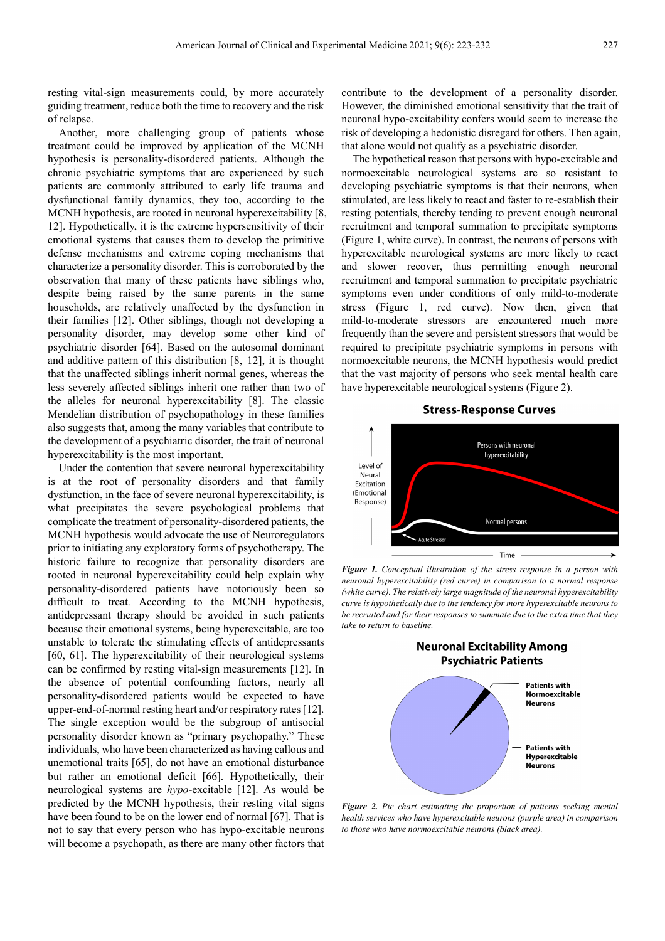resting vital-sign measurements could, by more accurately guiding treatment, reduce both the time to recovery and the risk of relapse.

Another, more challenging group of patients whose treatment could be improved by application of the MCNH hypothesis is personality-disordered patients. Although the chronic psychiatric symptoms that are experienced by such patients are commonly attributed to early life trauma and dysfunctional family dynamics, they too, according to the MCNH hypothesis, are rooted in neuronal hyperexcitability [8, 12]. Hypothetically, it is the extreme hypersensitivity of their emotional systems that causes them to develop the primitive defense mechanisms and extreme coping mechanisms that characterize a personality disorder. This is corroborated by the observation that many of these patients have siblings who, despite being raised by the same parents in the same households, are relatively unaffected by the dysfunction in their families [12]. Other siblings, though not developing a personality disorder, may develop some other kind of psychiatric disorder [64]. Based on the autosomal dominant and additive pattern of this distribution [8, 12], it is thought that the unaffected siblings inherit normal genes, whereas the less severely affected siblings inherit one rather than two of the alleles for neuronal hyperexcitability [8]. The classic Mendelian distribution of psychopathology in these families also suggests that, among the many variables that contribute to the development of a psychiatric disorder, the trait of neuronal hyperexcitability is the most important.

Under the contention that severe neuronal hyperexcitability is at the root of personality disorders and that family dysfunction, in the face of severe neuronal hyperexcitability, is what precipitates the severe psychological problems that complicate the treatment of personality-disordered patients, the MCNH hypothesis would advocate the use of Neuroregulators prior to initiating any exploratory forms of psychotherapy. The historic failure to recognize that personality disorders are rooted in neuronal hyperexcitability could help explain why personality-disordered patients have notoriously been so difficult to treat. According to the MCNH hypothesis, antidepressant therapy should be avoided in such patients because their emotional systems, being hyperexcitable, are too unstable to tolerate the stimulating effects of antidepressants [60, 61]. The hyperexcitability of their neurological systems can be confirmed by resting vital-sign measurements [12]. In the absence of potential confounding factors, nearly all personality-disordered patients would be expected to have upper-end-of-normal resting heart and/or respiratory rates [12]. The single exception would be the subgroup of antisocial personality disorder known as "primary psychopathy." These individuals, who have been characterized as having callous and unemotional traits [65], do not have an emotional disturbance but rather an emotional deficit [66]. Hypothetically, their neurological systems are *hypo*-excitable [12]. As would be predicted by the MCNH hypothesis, their resting vital signs have been found to be on the lower end of normal [67]. That is not to say that every person who has hypo-excitable neurons will become a psychopath, as there are many other factors that contribute to the development of a personality disorder. However, the diminished emotional sensitivity that the trait of neuronal hypo-excitability confers would seem to increase the risk of developing a hedonistic disregard for others. Then again, that alone would not qualify as a psychiatric disorder.

The hypothetical reason that persons with hypo-excitable and normoexcitable neurological systems are so resistant to developing psychiatric symptoms is that their neurons, when stimulated, are less likely to react and faster to re-establish their resting potentials, thereby tending to prevent enough neuronal recruitment and temporal summation to precipitate symptoms (Figure 1, white curve). In contrast, the neurons of persons with hyperexcitable neurological systems are more likely to react and slower recover, thus permitting enough neuronal recruitment and temporal summation to precipitate psychiatric symptoms even under conditions of only mild-to-moderate stress (Figure 1, red curve). Now then, given that mild-to-moderate stressors are encountered much more frequently than the severe and persistent stressors that would be required to precipitate psychiatric symptoms in persons with normoexcitable neurons, the MCNH hypothesis would predict that the vast majority of persons who seek mental health care have hyperexcitable neurological systems (Figure 2).

#### **Stress-Response Curves**



*Figure 1. Conceptual illustration of the stress response in a person with neuronal hyperexcitability (red curve) in comparison to a normal response (white curve). The relatively large magnitude of the neuronal hyperexcitability curve is hypothetically due to the tendency for more hyperexcitable neurons to be recruited and for their responses to summate due to the extra time that they take to return to baseline.* 



*Figure 2. Pie chart estimating the proportion of patients seeking mental health services who have hyperexcitable neurons (purple area) in comparison to those who have normoexcitable neurons (black area).*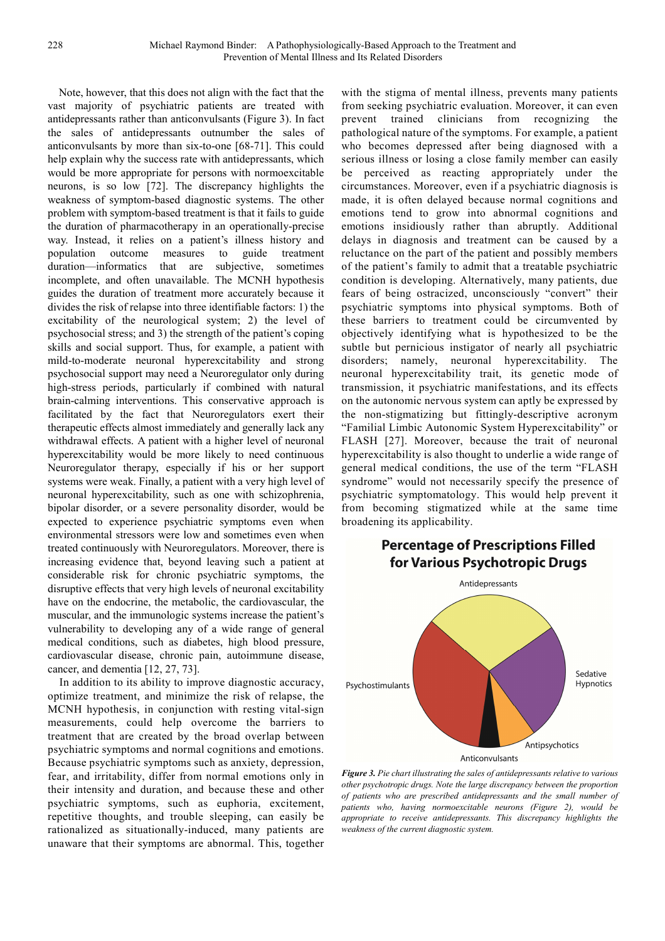Note, however, that this does not align with the fact that the vast majority of psychiatric patients are treated with antidepressants rather than anticonvulsants (Figure 3). In fact the sales of antidepressants outnumber the sales of anticonvulsants by more than six-to-one [68-71]. This could help explain why the success rate with antidepressants, which would be more appropriate for persons with normoexcitable neurons, is so low [72]. The discrepancy highlights the weakness of symptom-based diagnostic systems. The other problem with symptom-based treatment is that it fails to guide the duration of pharmacotherapy in an operationally-precise way. Instead, it relies on a patient's illness history and population outcome measures to guide treatment duration—informatics that are subjective, sometimes incomplete, and often unavailable. The MCNH hypothesis guides the duration of treatment more accurately because it divides the risk of relapse into three identifiable factors: 1) the excitability of the neurological system; 2) the level of psychosocial stress; and 3) the strength of the patient's coping skills and social support. Thus, for example, a patient with mild-to-moderate neuronal hyperexcitability and strong psychosocial support may need a Neuroregulator only during high-stress periods, particularly if combined with natural brain-calming interventions. This conservative approach is facilitated by the fact that Neuroregulators exert their therapeutic effects almost immediately and generally lack any withdrawal effects. A patient with a higher level of neuronal hyperexcitability would be more likely to need continuous Neuroregulator therapy, especially if his or her support systems were weak. Finally, a patient with a very high level of neuronal hyperexcitability, such as one with schizophrenia, bipolar disorder, or a severe personality disorder, would be expected to experience psychiatric symptoms even when environmental stressors were low and sometimes even when treated continuously with Neuroregulators. Moreover, there is increasing evidence that, beyond leaving such a patient at considerable risk for chronic psychiatric symptoms, the disruptive effects that very high levels of neuronal excitability have on the endocrine, the metabolic, the cardiovascular, the muscular, and the immunologic systems increase the patient's vulnerability to developing any of a wide range of general medical conditions, such as diabetes, high blood pressure, cardiovascular disease, chronic pain, autoimmune disease, cancer, and dementia [12, 27, 73].

In addition to its ability to improve diagnostic accuracy, optimize treatment, and minimize the risk of relapse, the MCNH hypothesis, in conjunction with resting vital-sign measurements, could help overcome the barriers to treatment that are created by the broad overlap between psychiatric symptoms and normal cognitions and emotions. Because psychiatric symptoms such as anxiety, depression, fear, and irritability, differ from normal emotions only in their intensity and duration, and because these and other psychiatric symptoms, such as euphoria, excitement, repetitive thoughts, and trouble sleeping, can easily be rationalized as situationally-induced, many patients are unaware that their symptoms are abnormal. This, together

with the stigma of mental illness, prevents many patients from seeking psychiatric evaluation. Moreover, it can even prevent trained clinicians from recognizing the pathological nature of the symptoms. For example, a patient who becomes depressed after being diagnosed with a serious illness or losing a close family member can easily be perceived as reacting appropriately under the circumstances. Moreover, even if a psychiatric diagnosis is made, it is often delayed because normal cognitions and emotions tend to grow into abnormal cognitions and emotions insidiously rather than abruptly. Additional delays in diagnosis and treatment can be caused by a reluctance on the part of the patient and possibly members of the patient's family to admit that a treatable psychiatric condition is developing. Alternatively, many patients, due fears of being ostracized, unconsciously "convert" their psychiatric symptoms into physical symptoms. Both of these barriers to treatment could be circumvented by objectively identifying what is hypothesized to be the subtle but pernicious instigator of nearly all psychiatric disorders; namely, neuronal hyperexcitability. The neuronal hyperexcitability trait, its genetic mode of transmission, it psychiatric manifestations, and its effects on the autonomic nervous system can aptly be expressed by the non-stigmatizing but fittingly-descriptive acronym "Familial Limbic Autonomic System Hyperexcitability" or FLASH [27]. Moreover, because the trait of neuronal hyperexcitability is also thought to underlie a wide range of general medical conditions, the use of the term "FLASH syndrome" would not necessarily specify the presence of psychiatric symptomatology. This would help prevent it from becoming stigmatized while at the same time broadening its applicability.

# **Percentage of Prescriptions Filled** for Various Psychotropic Drugs



*Figure 3. Pie chart illustrating the sales of antidepressants relative to various other psychotropic drugs. Note the large discrepancy between the proportion of patients who are prescribed antidepressants and the small number of patients who, having normoexcitable neurons (Figure 2), would be appropriate to receive antidepressants. This discrepancy highlights the weakness of the current diagnostic system.*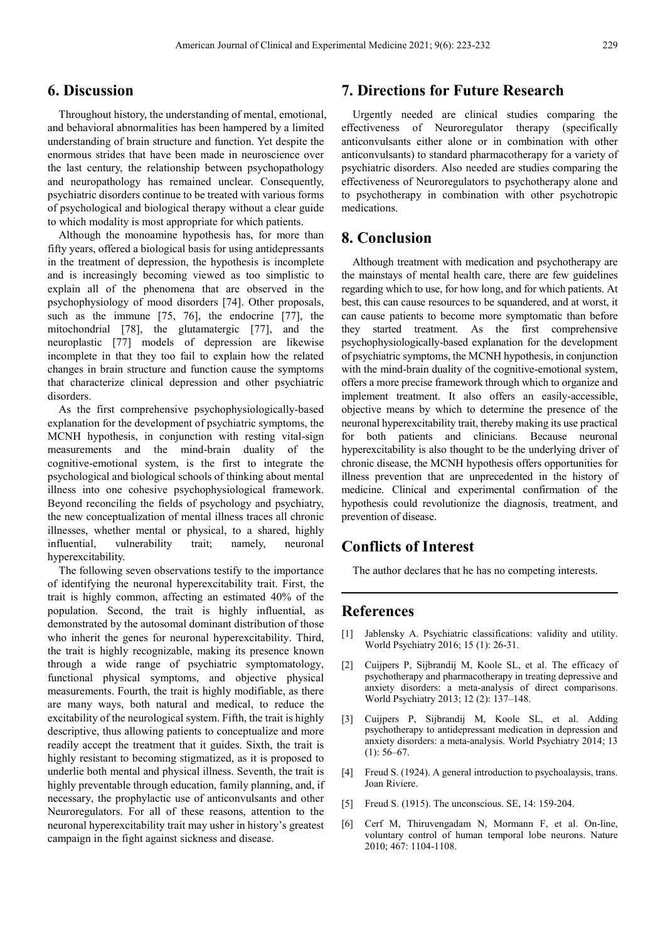#### **6. Discussion**

Throughout history, the understanding of mental, emotional, and behavioral abnormalities has been hampered by a limited understanding of brain structure and function. Yet despite the enormous strides that have been made in neuroscience over the last century, the relationship between psychopathology and neuropathology has remained unclear. Consequently, psychiatric disorders continue to be treated with various forms of psychological and biological therapy without a clear guide to which modality is most appropriate for which patients.

Although the monoamine hypothesis has, for more than fifty years, offered a biological basis for using antidepressants in the treatment of depression, the hypothesis is incomplete and is increasingly becoming viewed as too simplistic to explain all of the phenomena that are observed in the psychophysiology of mood disorders [74]. Other proposals, such as the immune [75, 76], the endocrine [77], the mitochondrial [78], the glutamatergic [77], and the neuroplastic [77] models of depression are likewise incomplete in that they too fail to explain how the related changes in brain structure and function cause the symptoms that characterize clinical depression and other psychiatric disorders.

As the first comprehensive psychophysiologically-based explanation for the development of psychiatric symptoms, the MCNH hypothesis, in conjunction with resting vital-sign measurements and the mind-brain duality of the cognitive-emotional system, is the first to integrate the psychological and biological schools of thinking about mental illness into one cohesive psychophysiological framework. Beyond reconciling the fields of psychology and psychiatry, the new conceptualization of mental illness traces all chronic illnesses, whether mental or physical, to a shared, highly influential, vulnerability trait; namely, neuronal hyperexcitability.

The following seven observations testify to the importance of identifying the neuronal hyperexcitability trait. First, the trait is highly common, affecting an estimated 40% of the population. Second, the trait is highly influential, as demonstrated by the autosomal dominant distribution of those who inherit the genes for neuronal hyperexcitability. Third, the trait is highly recognizable, making its presence known through a wide range of psychiatric symptomatology, functional physical symptoms, and objective physical measurements. Fourth, the trait is highly modifiable, as there are many ways, both natural and medical, to reduce the excitability of the neurological system. Fifth, the trait is highly descriptive, thus allowing patients to conceptualize and more readily accept the treatment that it guides. Sixth, the trait is highly resistant to becoming stigmatized, as it is proposed to underlie both mental and physical illness. Seventh, the trait is highly preventable through education, family planning, and, if necessary, the prophylactic use of anticonvulsants and other Neuroregulators. For all of these reasons, attention to the neuronal hyperexcitability trait may usher in history's greatest campaign in the fight against sickness and disease.

#### **7. Directions for Future Research**

Urgently needed are clinical studies comparing the effectiveness of Neuroregulator therapy (specifically anticonvulsants either alone or in combination with other anticonvulsants) to standard pharmacotherapy for a variety of psychiatric disorders. Also needed are studies comparing the effectiveness of Neuroregulators to psychotherapy alone and to psychotherapy in combination with other psychotropic medications.

#### **8. Conclusion**

Although treatment with medication and psychotherapy are the mainstays of mental health care, there are few guidelines regarding which to use, for how long, and for which patients. At best, this can cause resources to be squandered, and at worst, it can cause patients to become more symptomatic than before they started treatment. As the first comprehensive psychophysiologically-based explanation for the development of psychiatric symptoms, the MCNH hypothesis, in conjunction with the mind-brain duality of the cognitive-emotional system, offers a more precise framework through which to organize and implement treatment. It also offers an easily-accessible, objective means by which to determine the presence of the neuronal hyperexcitability trait, thereby making its use practical for both patients and clinicians. Because neuronal hyperexcitability is also thought to be the underlying driver of chronic disease, the MCNH hypothesis offers opportunities for illness prevention that are unprecedented in the history of medicine. Clinical and experimental confirmation of the hypothesis could revolutionize the diagnosis, treatment, and prevention of disease.

### **Conflicts of Interest**

The author declares that he has no competing interests.

#### **References**

- [1] Jablensky A. Psychiatric classifications: validity and utility. World Psychiatry 2016; 15 (1): 26-31.
- [2] Cuijpers P, Sijbrandij M, Koole SL, et al. The efficacy of psychotherapy and pharmacotherapy in treating depressive and anxiety disorders: a meta-analysis of direct comparisons. World Psychiatry 2013; 12 (2): 137–148.
- [3] Cuijpers P, Sijbrandij M, Koole SL, et al. Adding psychotherapy to antidepressant medication in depression and anxiety disorders: a meta-analysis. World Psychiatry 2014; 13  $(1): 56–67.$
- [4] Freud S. (1924). A general introduction to psychoalaysis, trans. Joan Riviere.
- [5] Freud S. (1915). The unconscious. SE, 14: 159-204.
- [6] Cerf M, Thiruvengadam N, Mormann F, et al. On-line, voluntary control of human temporal lobe neurons. Nature 2010; 467: 1104-1108.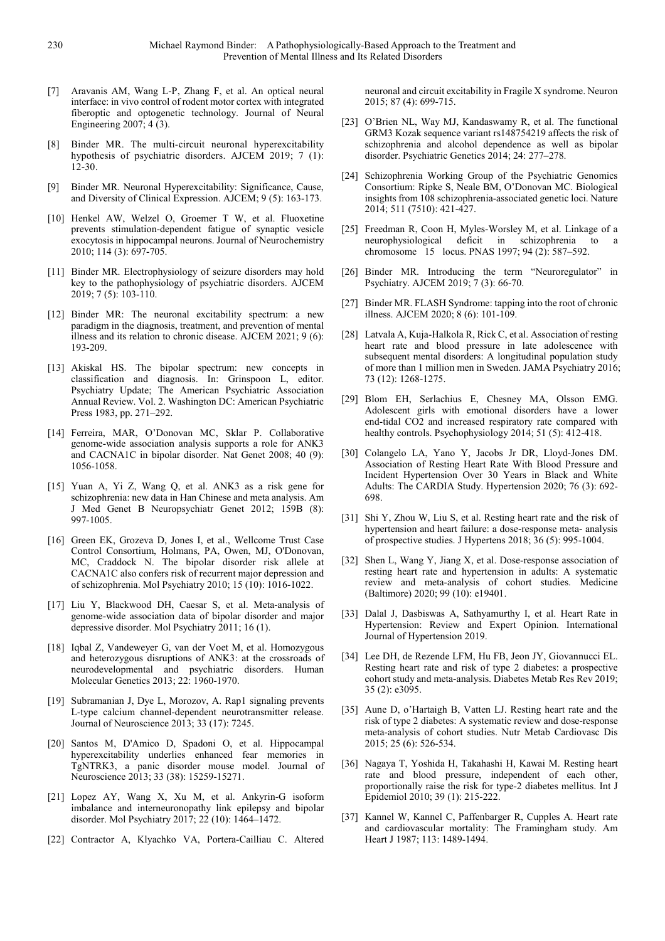- [7] Aravanis AM, Wang L-P, Zhang F, et al. An optical neural interface: in vivo control of rodent motor cortex with integrated fiberoptic and optogenetic technology. Journal of Neural Engineering 2007; 4 (3).
- [8] Binder MR. The multi-circuit neuronal hyperexcitability hypothesis of psychiatric disorders. AJCEM 2019; 7 (1): 12-30.
- [9] Binder MR. Neuronal Hyperexcitability: Significance, Cause, and Diversity of Clinical Expression. AJCEM; 9 (5): 163-173.
- [10] Henkel AW, Welzel O, Groemer T W, et al. Fluoxetine prevents stimulation-dependent fatigue of synaptic vesicle exocytosis in hippocampal neurons. Journal of Neurochemistry 2010; 114 (3): 697-705.
- [11] Binder MR. Electrophysiology of seizure disorders may hold key to the pathophysiology of psychiatric disorders. AJCEM 2019; 7 (5): 103-110.
- [12] Binder MR: The neuronal excitability spectrum: a new paradigm in the diagnosis, treatment, and prevention of mental illness and its relation to chronic disease. AJCEM 2021; 9 (6): 193-209.
- [13] Akiskal HS. The bipolar spectrum: new concepts in classification and diagnosis. In: Grinspoon L, editor. Psychiatry Update; The American Psychiatric Association Annual Review. Vol. 2. Washington DC: American Psychiatric Press 1983, pp. 271–292.
- [14] Ferreira, MAR, O'Donovan MC, Sklar P. Collaborative genome-wide association analysis supports a role for ANK3 and CACNA1C in bipolar disorder. Nat Genet 2008; 40 (9): 1056-1058.
- [15] Yuan A, Yi Z, Wang Q, et al. ANK3 as a risk gene for schizophrenia: new data in Han Chinese and meta analysis. Am J Med Genet B Neuropsychiatr Genet 2012; 159B (8): 997-1005.
- [16] Green EK, Grozeva D, Jones I, et al., Wellcome Trust Case Control Consortium, Holmans, PA, Owen, MJ, O'Donovan, MC, Craddock N. The bipolar disorder risk allele at CACNA1C also confers risk of recurrent major depression and of schizophrenia. Mol Psychiatry 2010; 15 (10): 1016-1022.
- [17] Liu Y, Blackwood DH, Caesar S, et al. Meta-analysis of genome-wide association data of bipolar disorder and major depressive disorder. Mol Psychiatry 2011; 16 (1).
- [18] Iqbal Z, Vandeweyer G, van der Voet M, et al. Homozygous and heterozygous disruptions of ANK3: at the crossroads of neurodevelopmental and psychiatric disorders. Human Molecular Genetics 2013; 22: 1960-1970.
- [19] Subramanian J, Dye L, Morozov, A. Rap1 signaling prevents L-type calcium channel-dependent neurotransmitter release. Journal of Neuroscience 2013; 33 (17): 7245.
- [20] Santos M, D'Amico D, Spadoni O, et al. Hippocampal hyperexcitability underlies enhanced fear memories in TgNTRK3, a panic disorder mouse model. Journal of Neuroscience 2013; 33 (38): 15259-15271.
- [21] Lopez AY, Wang X, Xu M, et al. Ankyrin-G isoform imbalance and interneuronopathy link epilepsy and bipolar disorder. Mol Psychiatry 2017; 22 (10): 1464–1472.
- [22] Contractor A, Klyachko VA, Portera-Cailliau C. Altered

neuronal and circuit excitability in Fragile X syndrome. Neuron 2015; 87 (4): 699-715.

- [23] O'Brien NL, Way MJ, Kandaswamy R, et al. The functional GRM3 Kozak sequence variant rs148754219 affects the risk of schizophrenia and alcohol dependence as well as bipolar disorder. Psychiatric Genetics 2014; 24: 277–278.
- [24] Schizophrenia Working Group of the Psychiatric Genomics Consortium: Ripke S, Neale BM, O'Donovan MC. Biological insights from 108 schizophrenia-associated genetic loci. Nature 2014; 511 (7510): 421-427.
- [25] Freedman R, Coon H, Myles-Worsley M, et al. Linkage of a neurophysiological deficit in schizophrenia to chromosome 15 locus. PNAS 1997; 94 (2): 587–592.
- [26] Binder MR. Introducing the term "Neuroregulator" in Psychiatry. AJCEM 2019; 7 (3): 66-70.
- [27] Binder MR. FLASH Syndrome: tapping into the root of chronic illness. AJCEM 2020; 8 (6): 101-109.
- [28] Latvala A, Kuja-Halkola R, Rick C, et al. Association of resting heart rate and blood pressure in late adolescence with subsequent mental disorders: A longitudinal population study of more than 1 million men in Sweden. JAMA Psychiatry 2016; 73 (12): 1268-1275.
- [29] Blom EH, Serlachius E, Chesney MA, Olsson EMG. Adolescent girls with emotional disorders have a lower end-tidal CO2 and increased respiratory rate compared with healthy controls. Psychophysiology 2014; 51 (5): 412-418.
- [30] Colangelo LA, Yano Y, Jacobs Jr DR, Lloyd-Jones DM. Association of Resting Heart Rate With Blood Pressure and Incident Hypertension Over 30 Years in Black and White Adults: The CARDIA Study. Hypertension 2020; 76 (3): 692- 698.
- [31] Shi Y, Zhou W, Liu S, et al. Resting heart rate and the risk of hypertension and heart failure: a dose-response meta- analysis of prospective studies. J Hypertens 2018; 36 (5): 995-1004.
- [32] Shen L, Wang Y, Jiang X, et al. Dose-response association of resting heart rate and hypertension in adults: A systematic review and meta-analysis of cohort studies. Medicine (Baltimore) 2020; 99 (10): e19401.
- [33] Dalal J, Dasbiswas A, Sathyamurthy I, et al. Heart Rate in Hypertension: Review and Expert Opinion. International Journal of Hypertension 2019.
- [34] Lee DH, de Rezende LFM, Hu FB, Jeon JY, Giovannucci EL. Resting heart rate and risk of type 2 diabetes: a prospective cohort study and meta-analysis. Diabetes Metab Res Rev 2019; 35 (2): e3095.
- [35] Aune D, o'Hartaigh B, Vatten LJ. Resting heart rate and the risk of type 2 diabetes: A systematic review and dose-response meta-analysis of cohort studies. Nutr Metab Cardiovasc Dis 2015; 25 (6): 526-534.
- [36] Nagaya T, Yoshida H, Takahashi H, Kawai M. Resting heart rate and blood pressure, independent of each other, proportionally raise the risk for type-2 diabetes mellitus. Int J Epidemiol 2010; 39 (1): 215-222.
- [37] Kannel W, Kannel C, Paffenbarger R, Cupples A. Heart rate and cardiovascular mortality: The Framingham study. Am Heart J 1987; 113: 1489-1494.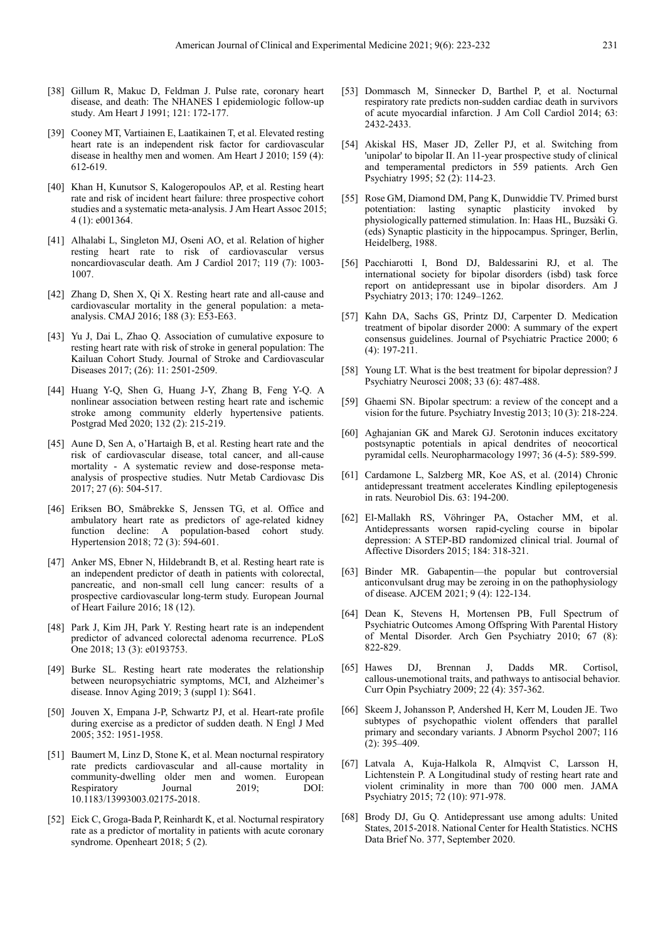- [38] Gillum R, Makuc D, Feldman J. Pulse rate, coronary heart disease, and death: The NHANES I epidemiologic follow-up study. Am Heart J 1991; 121: 172-177.
- [39] Cooney MT, Vartiainen E, Laatikainen T, et al. Elevated resting heart rate is an independent risk factor for cardiovascular disease in healthy men and women. Am Heart J 2010; 159 (4): 612-619.
- [40] Khan H, Kunutsor S, Kalogeropoulos AP, et al. Resting heart rate and risk of incident heart failure: three prospective cohort studies and a systematic meta-analysis. J Am Heart Assoc 2015; 4 (1): e001364.
- [41] Alhalabi L, Singleton MJ, Oseni AO, et al. Relation of higher resting heart rate to risk of cardiovascular versus noncardiovascular death. Am J Cardiol 2017; 119 (7): 1003- 1007.
- [42] Zhang D, Shen X, Qi X. Resting heart rate and all-cause and cardiovascular mortality in the general population: a metaanalysis. CMAJ 2016; 188 (3): E53-E63.
- [43] Yu J, Dai L, Zhao Q. Association of cumulative exposure to resting heart rate with risk of stroke in general population: The Kailuan Cohort Study. Journal of Stroke and Cardiovascular Diseases 2017; (26): 11: 2501-2509.
- [44] Huang Y-Q, Shen G, Huang J-Y, Zhang B, Feng Y-Q. A nonlinear association between resting heart rate and ischemic stroke among community elderly hypertensive patients. Postgrad Med 2020; 132 (2): 215-219.
- [45] Aune D, Sen A, o'Hartaigh B, et al. Resting heart rate and the risk of cardiovascular disease, total cancer, and all-cause mortality - A systematic review and dose-response metaanalysis of prospective studies. Nutr Metab Cardiovasc Dis 2017; 27 (6): 504-517.
- [46] Eriksen BO, Småbrekke S, Jenssen TG, et al. Office and ambulatory heart rate as predictors of age-related kidney function decline: A population-based cohort study. Hypertension 2018; 72 (3): 594-601.
- [47] Anker MS, Ebner N, Hildebrandt B, et al. Resting heart rate is an independent predictor of death in patients with colorectal, pancreatic, and non-small cell lung cancer: results of a prospective cardiovascular long-term study. European Journal of Heart Failure 2016; 18 (12).
- [48] Park J, Kim JH, Park Y. Resting heart rate is an independent predictor of advanced colorectal adenoma recurrence. PLoS One 2018; 13 (3): e0193753.
- [49] Burke SL. Resting heart rate moderates the relationship between neuropsychiatric symptoms, MCI, and Alzheimer's disease. Innov Aging 2019; 3 (suppl 1): S641.
- [50] Jouven X, Empana J-P, Schwartz PJ, et al. Heart-rate profile during exercise as a predictor of sudden death. N Engl J Med 2005; 352: 1951-1958.
- [51] Baumert M, Linz D, Stone K, et al. Mean nocturnal respiratory rate predicts cardiovascular and all-cause mortality in community-dwelling older men and women. European Respiratory Journal 2019; DOI: 10.1183/13993003.02175-2018.
- [52] Eick C, Groga-Bada P, Reinhardt K, et al. Nocturnal respiratory rate as a predictor of mortality in patients with acute coronary syndrome. Openheart 2018; 5 (2).
- [53] Dommasch M, Sinnecker D, Barthel P, et al. Nocturnal respiratory rate predicts non-sudden cardiac death in survivors of acute myocardial infarction. J Am Coll Cardiol 2014; 63: 2432-2433.
- [54] Akiskal HS, Maser JD, Zeller PJ, et al. Switching from 'unipolar' to bipolar II. An 11-year prospective study of clinical and temperamental predictors in 559 patients. Arch Gen Psychiatry 1995; 52 (2): 114-23.
- [55] Rose GM, Diamond DM, Pang K, Dunwiddie TV. Primed burst potentiation: lasting synaptic plasticity invoked by physiologically patterned stimulation. In: Haas HL, Buzsàki G. (eds) Synaptic plasticity in the hippocampus. Springer, Berlin, Heidelberg, 1988.
- [56] Pacchiarotti I, Bond DJ, Baldessarini RJ, et al. The international society for bipolar disorders (isbd) task force report on antidepressant use in bipolar disorders. Am J Psychiatry 2013; 170: 1249–1262.
- [57] Kahn DA, Sachs GS, Printz DJ, Carpenter D. Medication treatment of bipolar disorder 2000: A summary of the expert consensus guidelines. Journal of Psychiatric Practice 2000; 6 (4): 197-211.
- [58] Young LT. What is the best treatment for bipolar depression? J Psychiatry Neurosci 2008; 33 (6): 487-488.
- [59] Ghaemi SN. Bipolar spectrum: a review of the concept and a vision for the future. Psychiatry Investig 2013; 10 (3): 218-224.
- [60] Aghajanian GK and Marek GJ. Serotonin induces excitatory postsynaptic potentials in apical dendrites of neocortical pyramidal cells. Neuropharmacology 1997; 36 (4-5): 589-599.
- [61] Cardamone L, Salzberg MR, Koe AS, et al. (2014) Chronic antidepressant treatment accelerates Kindling epileptogenesis in rats. Neurobiol Dis. 63: 194-200.
- [62] El-Mallakh RS, Vöhringer PA, Ostacher MM, et al. Antidepressants worsen rapid-cycling course in bipolar depression: A STEP-BD randomized clinical trial. Journal of Affective Disorders 2015; 184: 318-321.
- [63] Binder MR. Gabapentin—the popular but controversial anticonvulsant drug may be zeroing in on the pathophysiology of disease. AJCEM 2021; 9 (4): 122-134.
- [64] Dean K, Stevens H, Mortensen PB, Full Spectrum of Psychiatric Outcomes Among Offspring With Parental History of Mental Disorder. Arch Gen Psychiatry 2010; 67 (8): 822-829.
- [65] Hawes DJ, Brennan J, Dadds MR. Cortisol, callous-unemotional traits, and pathways to antisocial behavior. Curr Opin Psychiatry 2009; 22 (4): 357-362.
- [66] Skeem J, Johansson P, Andershed H, Kerr M, Louden JE. Two subtypes of psychopathic violent offenders that parallel primary and secondary variants. J Abnorm Psychol 2007; 116 (2): 395–409.
- [67] Latvala A, Kuja-Halkola R, Almqvist C, Larsson H, Lichtenstein P. A Longitudinal study of resting heart rate and violent criminality in more than 700 000 men. JAMA Psychiatry 2015; 72 (10): 971-978.
- [68] Brody DJ, Gu Q. Antidepressant use among adults: United States, 2015-2018. National Center for Health Statistics. NCHS Data Brief No. 377, September 2020.